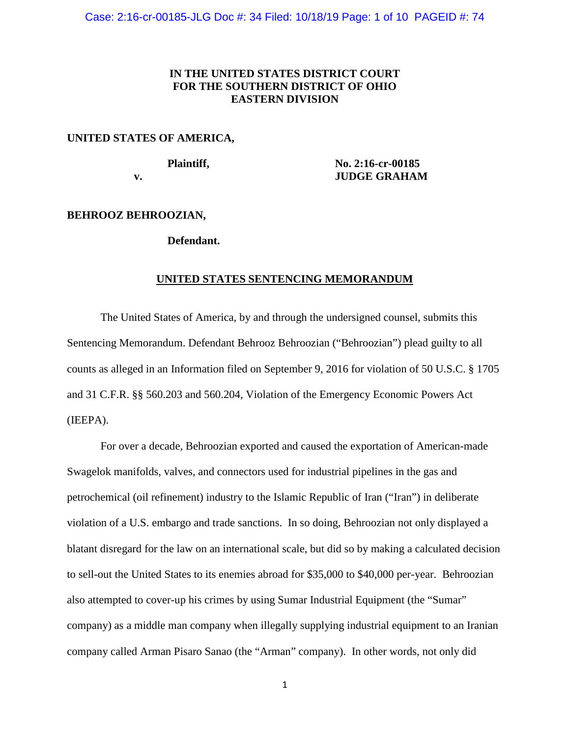## **IN THE UNITED STATES DISTRICT COURT FOR THE SOUTHERN DISTRICT OF OHIO EASTERN DIVISION**

#### **UNITED STATES OF AMERICA,**

**Plaintiff, No. 2:16-cr-00185 v. JUDGE GRAHAM**

#### **BEHROOZ BEHROOZIAN,**

#### **Defendant.**

#### **UNITED STATES SENTENCING MEMORANDUM**

The United States of America, by and through the undersigned counsel, submits this Sentencing Memorandum. Defendant Behrooz Behroozian ("Behroozian") plead guilty to all counts as alleged in an Information filed on September 9, 2016 for violation of 50 U.S.C. § 1705 and 31 C.F.R. §§ 560.203 and 560.204, Violation of the Emergency Economic Powers Act (IEEPA).

For over a decade, Behroozian exported and caused the exportation of American-made Swagelok manifolds, valves, and connectors used for industrial pipelines in the gas and petrochemical (oil refinement) industry to the Islamic Republic of Iran ("Iran") in deliberate violation of a U.S. embargo and trade sanctions. In so doing, Behroozian not only displayed a blatant disregard for the law on an international scale, but did so by making a calculated decision to sell-out the United States to its enemies abroad for \$35,000 to \$40,000 per-year. Behroozian also attempted to cover-up his crimes by using Sumar Industrial Equipment (the "Sumar" company) as a middle man company when illegally supplying industrial equipment to an Iranian company called Arman Pisaro Sanao (the "Arman" company). In other words, not only did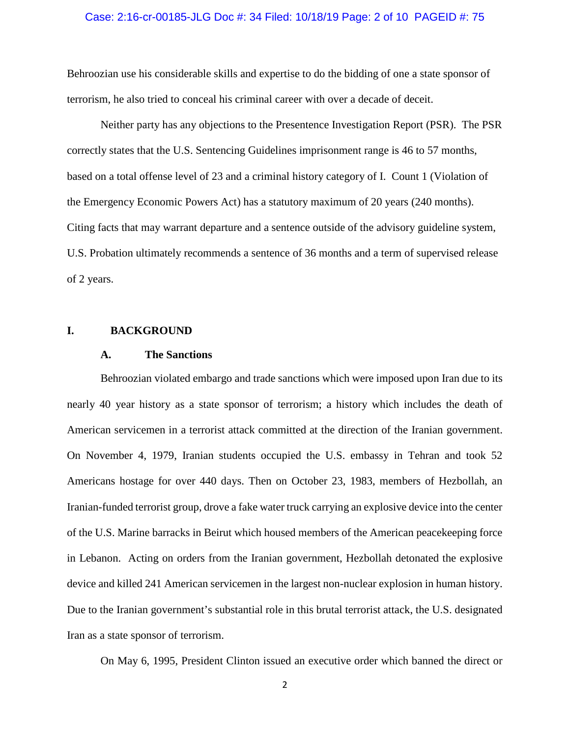#### Case: 2:16-cr-00185-JLG Doc #: 34 Filed: 10/18/19 Page: 2 of 10 PAGEID #: 75

Behroozian use his considerable skills and expertise to do the bidding of one a state sponsor of terrorism, he also tried to conceal his criminal career with over a decade of deceit.

Neither party has any objections to the Presentence Investigation Report (PSR). The PSR correctly states that the U.S. Sentencing Guidelines imprisonment range is 46 to 57 months, based on a total offense level of 23 and a criminal history category of I. Count 1 (Violation of the Emergency Economic Powers Act) has a statutory maximum of 20 years (240 months). Citing facts that may warrant departure and a sentence outside of the advisory guideline system, U.S. Probation ultimately recommends a sentence of 36 months and a term of supervised release of 2 years.

#### **I. BACKGROUND**

#### **A. The Sanctions**

Behroozian violated embargo and trade sanctions which were imposed upon Iran due to its nearly 40 year history as a state sponsor of terrorism; a history which includes the death of American servicemen in a terrorist attack committed at the direction of the Iranian government. On November 4, 1979, Iranian students occupied the U.S. embassy in Tehran and took 52 Americans hostage for over 440 days. Then on October 23, 1983, members of Hezbollah, an Iranian-funded terrorist group, drove a fake water truck carrying an explosive device into the center of the U.S. Marine barracks in Beirut which housed members of the American peacekeeping force in Lebanon. Acting on orders from the Iranian government, Hezbollah detonated the explosive device and killed 241 American servicemen in the largest non-nuclear explosion in human history. Due to the Iranian government's substantial role in this brutal terrorist attack, the U.S. designated Iran as a state sponsor of terrorism.

On May 6, 1995, President Clinton issued an executive order which banned the direct or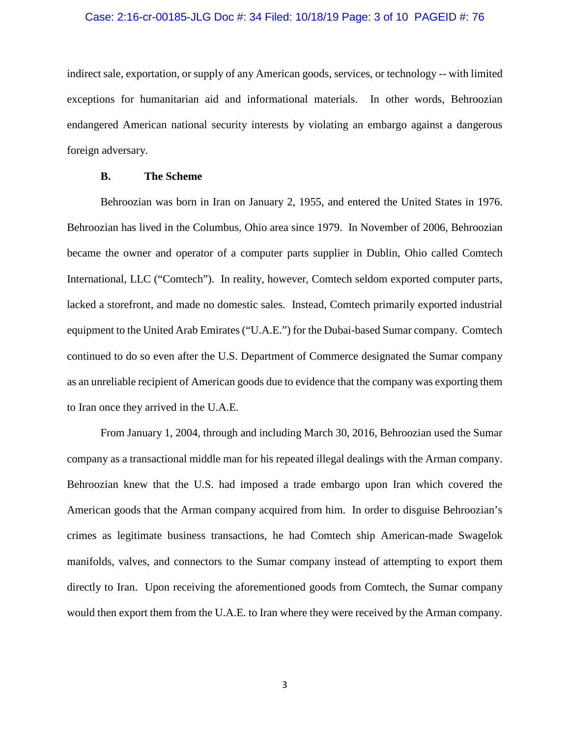#### Case: 2:16-cr-00185-JLG Doc #: 34 Filed: 10/18/19 Page: 3 of 10 PAGEID #: 76

indirect sale, exportation, or supply of any American goods, services, or technology -- with limited exceptions for humanitarian aid and informational materials. In other words, Behroozian endangered American national security interests by violating an embargo against a dangerous foreign adversary.

### **B. The Scheme**

Behroozian was born in Iran on January 2, 1955, and entered the United States in 1976. Behroozian has lived in the Columbus, Ohio area since 1979. In November of 2006, Behroozian became the owner and operator of a computer parts supplier in Dublin, Ohio called Comtech International, LLC ("Comtech"). In reality, however, Comtech seldom exported computer parts, lacked a storefront, and made no domestic sales. Instead, Comtech primarily exported industrial equipment to the United Arab Emirates ("U.A.E.") for the Dubai-based Sumar company. Comtech continued to do so even after the U.S. Department of Commerce designated the Sumar company as an unreliable recipient of American goods due to evidence that the company was exporting them to Iran once they arrived in the U.A.E.

From January 1, 2004, through and including March 30, 2016, Behroozian used the Sumar company as a transactional middle man for his repeated illegal dealings with the Arman company. Behroozian knew that the U.S. had imposed a trade embargo upon Iran which covered the American goods that the Arman company acquired from him. In order to disguise Behroozian's crimes as legitimate business transactions, he had Comtech ship American-made Swagelok manifolds, valves, and connectors to the Sumar company instead of attempting to export them directly to Iran. Upon receiving the aforementioned goods from Comtech, the Sumar company would then export them from the U.A.E. to Iran where they were received by the Arman company.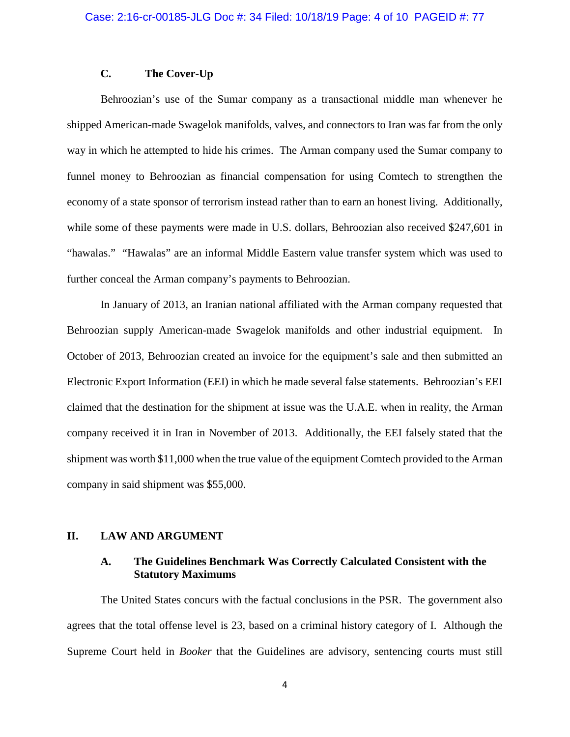## **C. The Cover-Up**

Behroozian's use of the Sumar company as a transactional middle man whenever he shipped American-made Swagelok manifolds, valves, and connectors to Iran was far from the only way in which he attempted to hide his crimes. The Arman company used the Sumar company to funnel money to Behroozian as financial compensation for using Comtech to strengthen the economy of a state sponsor of terrorism instead rather than to earn an honest living. Additionally, while some of these payments were made in U.S. dollars, Behroozian also received \$247,601 in "hawalas." "Hawalas" are an informal Middle Eastern value transfer system which was used to further conceal the Arman company's payments to Behroozian.

In January of 2013, an Iranian national affiliated with the Arman company requested that Behroozian supply American-made Swagelok manifolds and other industrial equipment. In October of 2013, Behroozian created an invoice for the equipment's sale and then submitted an Electronic Export Information (EEI) in which he made several false statements. Behroozian's EEI claimed that the destination for the shipment at issue was the U.A.E. when in reality, the Arman company received it in Iran in November of 2013. Additionally, the EEI falsely stated that the shipment was worth \$11,000 when the true value of the equipment Comtech provided to the Arman company in said shipment was \$55,000.

#### **II. LAW AND ARGUMENT**

## **A. The Guidelines Benchmark Was Correctly Calculated Consistent with the Statutory Maximums**

The United States concurs with the factual conclusions in the PSR. The government also agrees that the total offense level is 23, based on a criminal history category of I. Although the Supreme Court held in *Booker* that the Guidelines are advisory, sentencing courts must still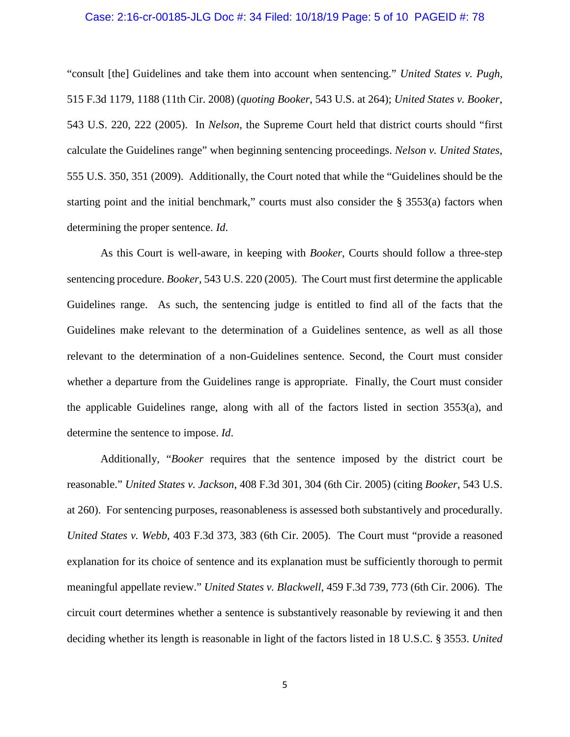#### Case: 2:16-cr-00185-JLG Doc #: 34 Filed: 10/18/19 Page: 5 of 10 PAGEID #: 78

"consult [the] Guidelines and take them into account when sentencing." *United States v. Pugh*, 515 F.3d 1179, 1188 (11th Cir. 2008) (*quoting Booker*, 543 U.S. at 264); *United States v. Booker*, 543 U.S. 220, 222 (2005). In *Nelson*, the Supreme Court held that district courts should "first calculate the Guidelines range" when beginning sentencing proceedings. *Nelson v. United States*, 555 U.S. 350, 351 (2009). Additionally, the Court noted that while the "Guidelines should be the starting point and the initial benchmark," courts must also consider the § 3553(a) factors when determining the proper sentence. *Id*.

As this Court is well-aware, in keeping with *Booker*, Courts should follow a three-step sentencing procedure. *Booker*, 543 U.S. 220 (2005). The Court must first determine the applicable Guidelines range. As such, the sentencing judge is entitled to find all of the facts that the Guidelines make relevant to the determination of a Guidelines sentence, as well as all those relevant to the determination of a non-Guidelines sentence. Second, the Court must consider whether a departure from the Guidelines range is appropriate. Finally, the Court must consider the applicable Guidelines range, along with all of the factors listed in section 3553(a), and determine the sentence to impose. *Id*.

Additionally, "*Booker* requires that the sentence imposed by the district court be reasonable." *United States v. Jackson*, 408 F.3d 301, 304 (6th Cir. 2005) (citing *Booker*, 543 U.S. at 260). For sentencing purposes, reasonableness is assessed both substantively and procedurally. *United States v. Webb*, 403 F.3d 373, 383 (6th Cir. 2005). The Court must "provide a reasoned explanation for its choice of sentence and its explanation must be sufficiently thorough to permit meaningful appellate review." *United States v. Blackwell*, 459 F.3d 739, 773 (6th Cir. 2006). The circuit court determines whether a sentence is substantively reasonable by reviewing it and then deciding whether its length is reasonable in light of the factors listed in 18 U.S.C. § 3553. *United*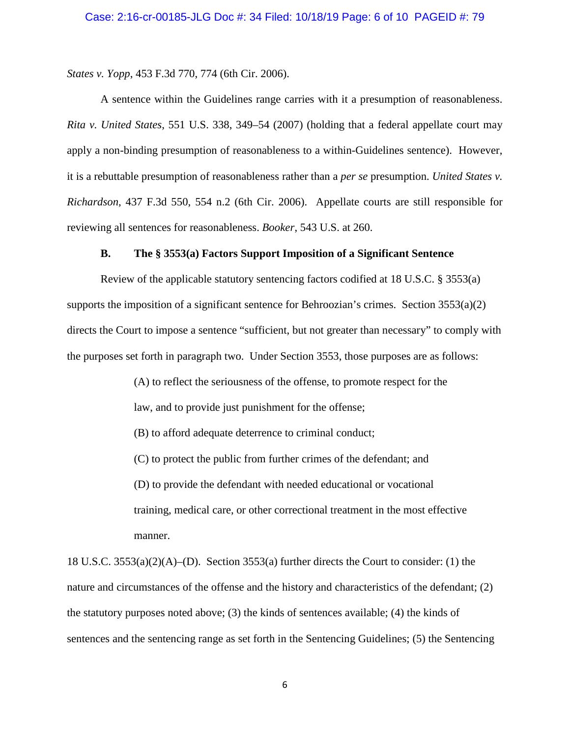*States v. Yopp*, 453 F.3d 770, 774 (6th Cir. 2006).

A sentence within the Guidelines range carries with it a presumption of reasonableness. *Rita v. United States*, 551 U.S. 338, 349–54 (2007) (holding that a federal appellate court may apply a non-binding presumption of reasonableness to a within-Guidelines sentence). However, it is a rebuttable presumption of reasonableness rather than a *per se* presumption. *United States v. Richardson*, 437 F.3d 550, 554 n.2 (6th Cir. 2006). Appellate courts are still responsible for reviewing all sentences for reasonableness. *Booker*, 543 U.S. at 260.

#### **B. The § 3553(a) Factors Support Imposition of a Significant Sentence**

Review of the applicable statutory sentencing factors codified at 18 U.S.C. § 3553(a) supports the imposition of a significant sentence for Behroozian's crimes. Section  $3553(a)(2)$ directs the Court to impose a sentence "sufficient, but not greater than necessary" to comply with the purposes set forth in paragraph two. Under Section 3553, those purposes are as follows:

> (A) to reflect the seriousness of the offense, to promote respect for the law, and to provide just punishment for the offense; (B) to afford adequate deterrence to criminal conduct; (C) to protect the public from further crimes of the defendant; and (D) to provide the defendant with needed educational or vocational training, medical care, or other correctional treatment in the most effective manner.

18 U.S.C. 3553(a)(2)(A)–(D). Section 3553(a) further directs the Court to consider: (1) the nature and circumstances of the offense and the history and characteristics of the defendant; (2) the statutory purposes noted above; (3) the kinds of sentences available; (4) the kinds of sentences and the sentencing range as set forth in the Sentencing Guidelines; (5) the Sentencing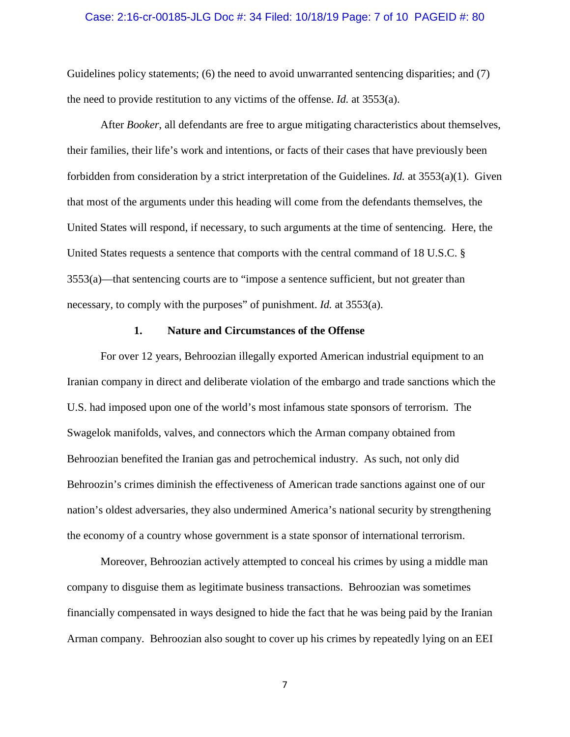#### Case: 2:16-cr-00185-JLG Doc #: 34 Filed: 10/18/19 Page: 7 of 10 PAGEID #: 80

Guidelines policy statements; (6) the need to avoid unwarranted sentencing disparities; and (7) the need to provide restitution to any victims of the offense. *Id.* at 3553(a).

After *Booker*, all defendants are free to argue mitigating characteristics about themselves, their families, their life's work and intentions, or facts of their cases that have previously been forbidden from consideration by a strict interpretation of the Guidelines. *Id.* at 3553(a)(1). Given that most of the arguments under this heading will come from the defendants themselves, the United States will respond, if necessary, to such arguments at the time of sentencing. Here, the United States requests a sentence that comports with the central command of 18 U.S.C. § 3553(a)—that sentencing courts are to "impose a sentence sufficient, but not greater than necessary, to comply with the purposes" of punishment. *Id.* at 3553(a).

#### **1. Nature and Circumstances of the Offense**

For over 12 years, Behroozian illegally exported American industrial equipment to an Iranian company in direct and deliberate violation of the embargo and trade sanctions which the U.S. had imposed upon one of the world's most infamous state sponsors of terrorism. The Swagelok manifolds, valves, and connectors which the Arman company obtained from Behroozian benefited the Iranian gas and petrochemical industry. As such, not only did Behroozin's crimes diminish the effectiveness of American trade sanctions against one of our nation's oldest adversaries, they also undermined America's national security by strengthening the economy of a country whose government is a state sponsor of international terrorism.

Moreover, Behroozian actively attempted to conceal his crimes by using a middle man company to disguise them as legitimate business transactions. Behroozian was sometimes financially compensated in ways designed to hide the fact that he was being paid by the Iranian Arman company. Behroozian also sought to cover up his crimes by repeatedly lying on an EEI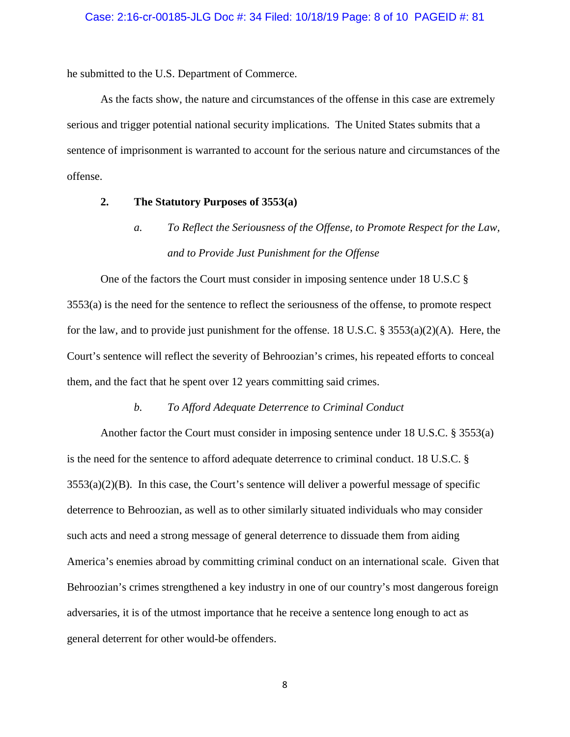he submitted to the U.S. Department of Commerce.

As the facts show, the nature and circumstances of the offense in this case are extremely serious and trigger potential national security implications. The United States submits that a sentence of imprisonment is warranted to account for the serious nature and circumstances of the offense.

#### **2. The Statutory Purposes of 3553(a)**

*a. To Reflect the Seriousness of the Offense, to Promote Respect for the Law, and to Provide Just Punishment for the Offense*

One of the factors the Court must consider in imposing sentence under 18 U.S.C § 3553(a) is the need for the sentence to reflect the seriousness of the offense, to promote respect for the law, and to provide just punishment for the offense. 18 U.S.C. §  $3553(a)(2)(A)$ . Here, the Court's sentence will reflect the severity of Behroozian's crimes, his repeated efforts to conceal them, and the fact that he spent over 12 years committing said crimes.

#### *b. To Afford Adequate Deterrence to Criminal Conduct*

Another factor the Court must consider in imposing sentence under 18 U.S.C. § 3553(a) is the need for the sentence to afford adequate deterrence to criminal conduct. 18 U.S.C. §  $3553(a)(2)(B)$ . In this case, the Court's sentence will deliver a powerful message of specific deterrence to Behroozian, as well as to other similarly situated individuals who may consider such acts and need a strong message of general deterrence to dissuade them from aiding America's enemies abroad by committing criminal conduct on an international scale. Given that Behroozian's crimes strengthened a key industry in one of our country's most dangerous foreign adversaries, it is of the utmost importance that he receive a sentence long enough to act as general deterrent for other would-be offenders.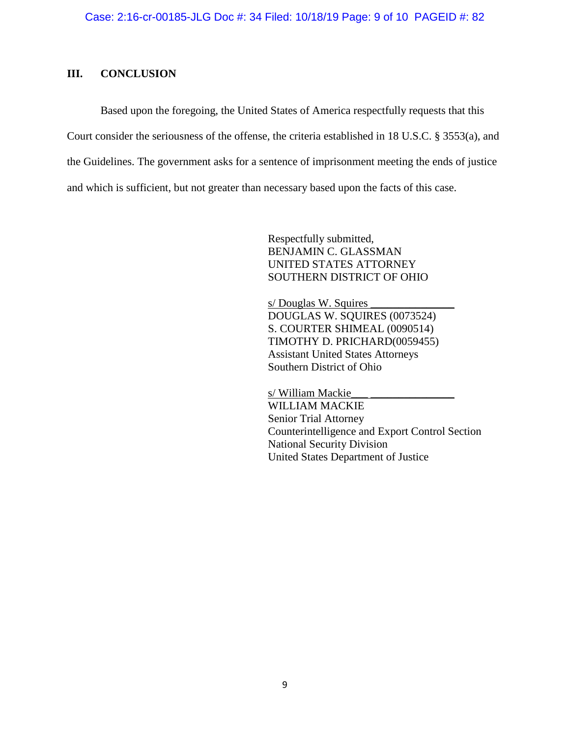## **III. CONCLUSION**

Based upon the foregoing, the United States of America respectfully requests that this Court consider the seriousness of the offense, the criteria established in 18 U.S.C. § 3553(a), and the Guidelines. The government asks for a sentence of imprisonment meeting the ends of justice and which is sufficient, but not greater than necessary based upon the facts of this case.

> Respectfully submitted, BENJAMIN C. GLASSMAN UNITED STATES ATTORNEY SOUTHERN DISTRICT OF OHIO

s/ Douglas W. Squires DOUGLAS W. SQUIRES (0073524) S. COURTER SHIMEAL (0090514) TIMOTHY D. PRICHARD(0059455) Assistant United States Attorneys Southern District of Ohio

s/ William Mackie WILLIAM MACKIE Senior Trial Attorney Counterintelligence and Export Control Section National Security Division United States Department of Justice